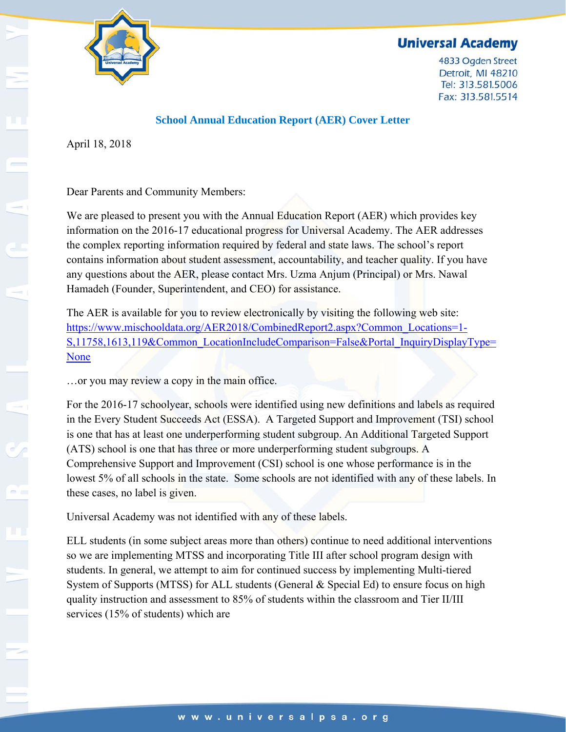

4833 Ogden Street Detroit, MI 48210 Tel: 313.581.5006 Fax: 313.581.5514



#### **School Annual Education Report (AER) Cover Letter**

April 18, 2018

Dear Parents and Community Members:

We are pleased to present you with the Annual Education Report (AER) which provides key information on the 2016-17 educational progress for Universal Academy. The AER addresses the complex reporting information required by federal and state laws. The school's report contains information about student assessment, accountability, and teacher quality. If you have any questions about the AER, please contact Mrs. Uzma Anjum (Principal) or Mrs. Nawal Hamadeh (Founder, Superintendent, and CEO) for assistance.

The AER is available for you to review electronically by visiting the following web site: https://www.mischooldata.org/AER2018/CombinedReport2.aspx?Common\_Locations=1- S,11758,1613,119&Common\_LocationIncludeComparison=False&Portal\_InquiryDisplayType= None

…or you may review a copy in the main office.

For the 2016-17 schoolyear, schools were identified using new definitions and labels as required in the Every Student Succeeds Act (ESSA). A Targeted Support and Improvement (TSI) school is one that has at least one underperforming student subgroup. An Additional Targeted Support (ATS) school is one that has three or more underperforming student subgroups. A Comprehensive Support and Improvement (CSI) school is one whose performance is in the lowest 5% of all schools in the state. Some schools are not identified with any of these labels. In these cases, no label is given.

Universal Academy was not identified with any of these labels.

ELL students (in some subject areas more than others) continue to need additional interventions so we are implementing MTSS and incorporating Title III after school program design with students. In general, we attempt to aim for continued success by implementing Multi-tiered System of Supports (MTSS) for ALL students (General & Special Ed) to ensure focus on high quality instruction and assessment to 85% of students within the classroom and Tier II/III services (15% of students) which are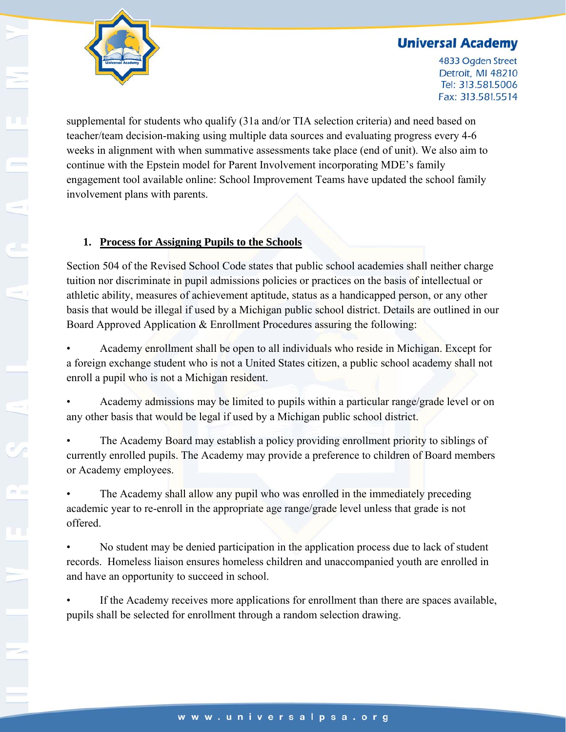

4833 Ogden Street Detroit, MI 48210 Tel: 313.581.5006 Fax: 313.581.5514

supplemental for students who qualify (31a and/or TIA selection criteria) and need based on teacher/team decision-making using multiple data sources and evaluating progress every 4-6 weeks in alignment with when summative assessments take place (end of unit). We also aim to continue with the Epstein model for Parent Involvement incorporating MDE's family engagement tool available online: School Improvement Teams have updated the school family involvement plans with parents.

### **1. Process for Assigning Pupils to the Schools**

Section 504 of the Revised School Code states that public school academies shall neither charge tuition nor discriminate in pupil admissions policies or practices on the basis of intellectual or athletic ability, measures of achievement aptitude, status as a handicapped person, or any other basis that would be illegal if used by a Michigan public school district. Details are outlined in our Board Approved Application & Enrollment Procedures assuring the following:

• Academy enrollment shall be open to all individuals who reside in Michigan. Except for a foreign exchange student who is not a United States citizen, a public school academy shall not enroll a pupil who is not a Michigan resident.

• Academy admissions may be limited to pupils within a particular range/grade level or on any other basis that would be legal if used by a Michigan public school district.

The Academy Board may establish a policy providing enrollment priority to siblings of currently enrolled pupils. The Academy may provide a preference to children of Board members or Academy employees.

• The Academy shall allow any pupil who was enrolled in the immediately preceding academic year to re-enroll in the appropriate age range/grade level unless that grade is not offered.

No student may be denied participation in the application process due to lack of student records. Homeless liaison ensures homeless children and unaccompanied youth are enrolled in and have an opportunity to succeed in school.

If the Academy receives more applications for enrollment than there are spaces available, pupils shall be selected for enrollment through a random selection drawing.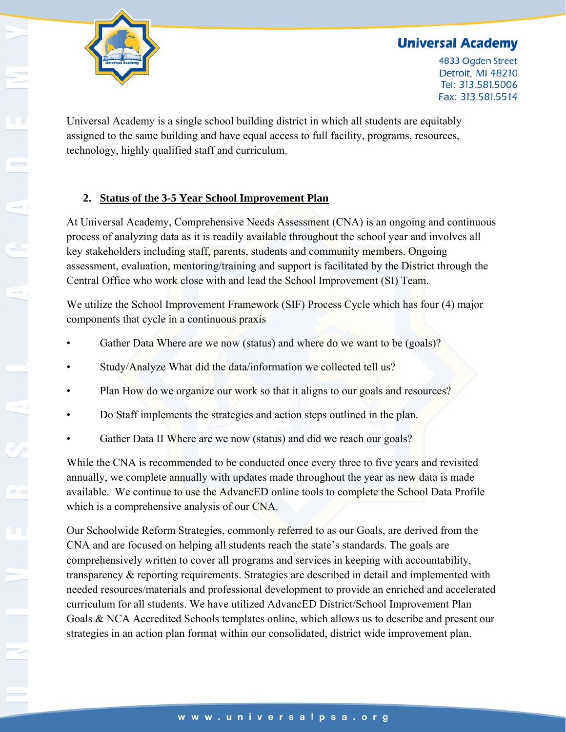

4833 Ogden Street Detroit, MI 48210 Tel: 313.581.5006 Fax: 313.581.5514

Universal Academy is a single school building district in which all students are equitably assigned to the same building and have equal access to full facility, programs, resources, technology, highly qualified staff and curriculum.

### **2. Status of the 3-5 Year School Improvement Plan**

At Universal Academy, Comprehensive Needs Assessment (CNA) is an ongoing and continuous process of analyzing data as it is readily available throughout the school year and involves all key stakeholders including staff, parents, students and community members. Ongoing assessment, evaluation, mentoring/training and support is facilitated by the District through the Central Office who work close with and lead the School Improvement (SI) Team.

We utilize the School Improvement Framework (SIF) Process Cycle which has four (4) major components that cycle in a continuous praxis

- Gather Data Where are we now (status) and where do we want to be (goals)?
- Study/Analyze What did the data/information we collected tell us?
- Plan How do we organize our work so that it aligns to our goals and resources?
- Do Staff implements the strategies and action steps outlined in the plan.
- Gather Data II Where are we now (status) and did we reach our goals?

While the CNA is recommended to be conducted once every three to five years and revisited annually, we complete annually with updates made throughout the year as new data is made available. We continue to use the AdvancED online tools to complete the School Data Profile which is a comprehensive analysis of our CNA.

Our Schoolwide Reform Strategies, commonly referred to as our Goals, are derived from the CNA and are focused on helping all students reach the state's standards. The goals are comprehensively written to cover all programs and services in keeping with accountability, transparency & reporting requirements. Strategies are described in detail and implemented with needed resources/materials and professional development to provide an enriched and accelerated curriculum for all students. We have utilized AdvancED District/School Improvement Plan Goals & NCA Accredited Schools templates online, which allows us to describe and present our strategies in an action plan format within our consolidated, district wide improvement plan.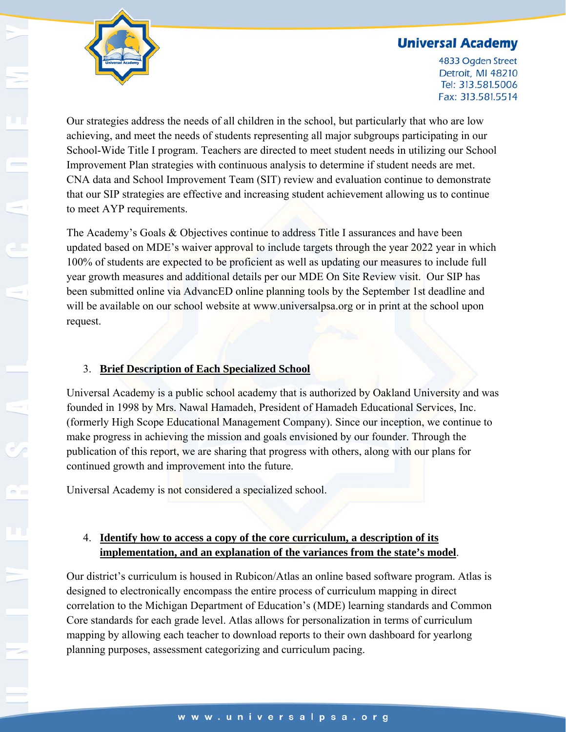4833 Ogden Street Detroit, MI 48210 Tel: 313.581.5006 Fax: 313.581.5514



Our strategies address the needs of all children in the school, but particularly that who are low achieving, and meet the needs of students representing all major subgroups participating in our School-Wide Title I program. Teachers are directed to meet student needs in utilizing our School Improvement Plan strategies with continuous analysis to determine if student needs are met. CNA data and School Improvement Team (SIT) review and evaluation continue to demonstrate that our SIP strategies are effective and increasing student achievement allowing us to continue to meet AYP requirements.

The Academy's Goals & Objectives continue to address Title I assurances and have been updated based on MDE's waiver approval to include targets through the year 2022 year in which 100% of students are expected to be proficient as well as updating our measures to include full year growth measures and additional details per our MDE On Site Review visit. Our SIP has been submitted online via AdvancED online planning tools by the September 1st deadline and will be available on our school website at www.universalpsa.org or in print at the school upon request.

### 3. **Brief Description of Each Specialized School**

Universal Academy is a public school academy that is authorized by Oakland University and was founded in 1998 by Mrs. Nawal Hamadeh, President of Hamadeh Educational Services, Inc. (formerly High Scope Educational Management Company). Since our inception, we continue to make progress in achieving the mission and goals envisioned by our founder. Through the publication of this report, we are sharing that progress with others, along with our plans for continued growth and improvement into the future.

Universal Academy is not considered a specialized school.

# 4. **Identify how to access a copy of the core curriculum, a description of its implementation, and an explanation of the variances from the state's model**.

Our district's curriculum is housed in Rubicon/Atlas an online based software program. Atlas is designed to electronically encompass the entire process of curriculum mapping in direct correlation to the Michigan Department of Education's (MDE) learning standards and Common Core standards for each grade level. Atlas allows for personalization in terms of curriculum mapping by allowing each teacher to download reports to their own dashboard for yearlong planning purposes, assessment categorizing and curriculum pacing.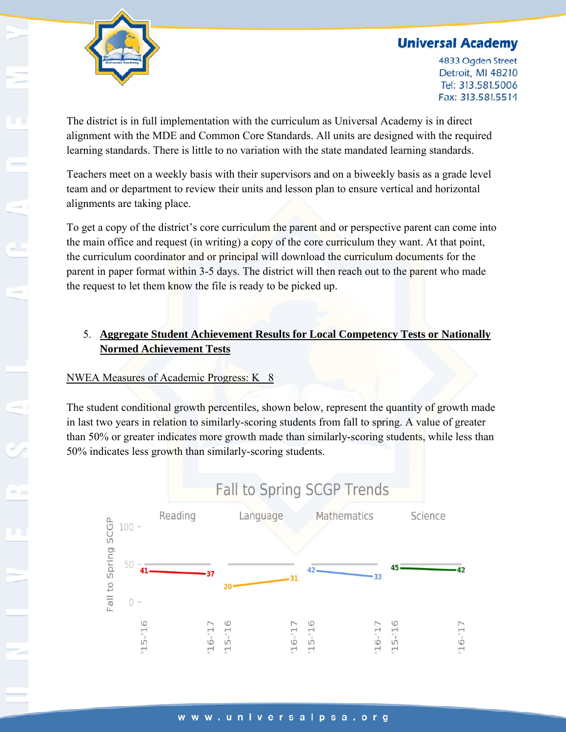



4833 Ogden Street Detroit, MI 48210 Tel: 313.581.5006 Fax: 313.581.5514

The district is in full implementation with the curriculum as Universal Academy is in direct alignment with the MDE and Common Core Standards. All units are designed with the required learning standards. There is little to no variation with the state mandated learning standards.

Teachers meet on a weekly basis with their supervisors and on a biweekly basis as a grade level team and or department to review their units and lesson plan to ensure vertical and horizontal alignments are taking place.

To get a copy of the district's core curriculum the parent and or perspective parent can come into the main office and request (in writing) a copy of the core curriculum they want. At that point, the curriculum coordinator and or principal will download the curriculum documents for the parent in paper format within 3-5 days. The district will then reach out to the parent who made the request to let them know the file is ready to be picked up.

### 5. **Aggregate Student Achievement Results for Local Competency Tests or Nationally Normed Achievement Tests**

# NWEA Measures of Academic Progress: K 8

The student conditional growth percentiles, shown below, represent the quantity of growth made in last two years in relation to similarly-scoring students from fall to spring. A value of greater than 50% or greater indicates more growth made than similarly-scoring students, while less than 50% indicates less growth than similarly-scoring students.

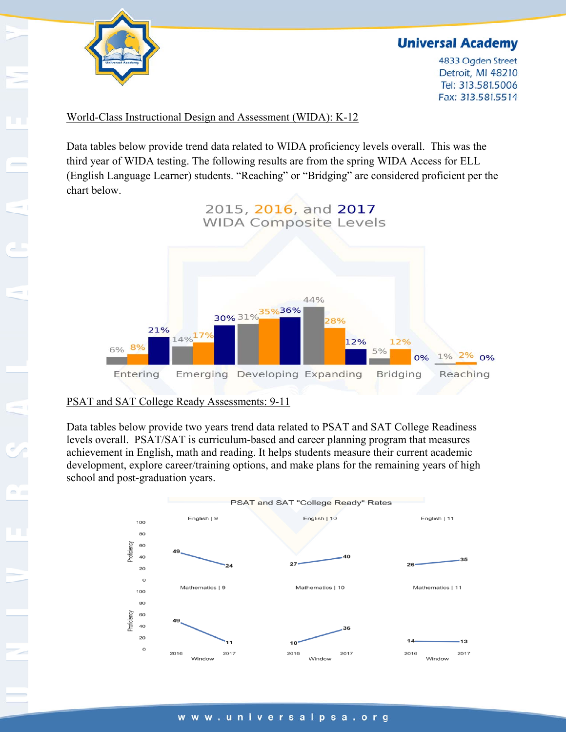

4833 Ogden Street Detroit, MI 48210 Tel: 313.581.5006 Fax: 313.581.5514

#### World-Class Instructional Design and Assessment (WIDA): K-12

Data tables below provide trend data related to WIDA proficiency levels overall. This was the third year of WIDA testing. The following results are from the spring WIDA Access for ELL (English Language Learner) students. "Reaching" or "Bridging" are considered proficient per the chart below.



#### PSAT and SAT College Ready Assessments: 9-11

Data tables below provide two years trend data related to PSAT and SAT College Readiness levels overall. PSAT/SAT is curriculum-based and career planning program that measures achievement in English, math and reading. It helps students measure their current academic development, explore career/training options, and make plans for the remaining years of high school and post-graduation years.

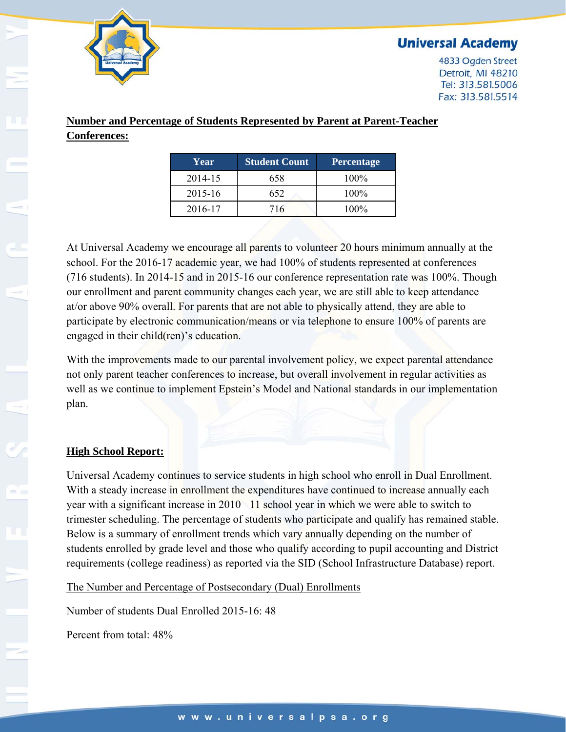

4833 Ogden Street Detroit, MI 48210 Tel: 313.581.5006 Fax: 313.581.5514

### **Number and Percentage of Students Represented by Parent at Parent-Teacher Conferences:**

| Year    | <b>Student Count</b> | Percentage |
|---------|----------------------|------------|
| 2014-15 | 658                  | $100\%$    |
| 2015-16 | 652                  | $100\%$    |
| 2016-17 | 716                  | $100\%$    |

At Universal Academy we encourage all parents to volunteer 20 hours minimum annually at the school. For the 2016-17 academic year, we had 100% of students represented at conferences (716 students). In 2014-15 and in 2015-16 our conference representation rate was 100%. Though our enrollment and parent community changes each year, we are still able to keep attendance at/or above 90% overall. For parents that are not able to physically attend, they are able to participate by electronic communication/means or via telephone to ensure 100% of parents are engaged in their child(ren)'s education.

With the improvements made to our parental involvement policy, we expect parental attendance not only parent teacher conferences to increase, but overall involvement in regular activities as well as we continue to implement Epstein's Model and National standards in our implementation plan.

#### **High School Report:**

Universal Academy continues to service students in high school who enroll in Dual Enrollment. With a steady increase in enrollment the expenditures have continued to increase annually each year with a significant increase in 2010 11 school year in which we were able to switch to trimester scheduling. The percentage of students who participate and qualify has remained stable. Below is a summary of enrollment trends which vary annually depending on the number of students enrolled by grade level and those who qualify according to pupil accounting and District requirements (college readiness) as reported via the SID (School Infrastructure Database) report.

The Number and Percentage of Postsecondary (Dual) Enrollments

Number of students Dual Enrolled 2015-16: 48

Percent from total:  $48\%$